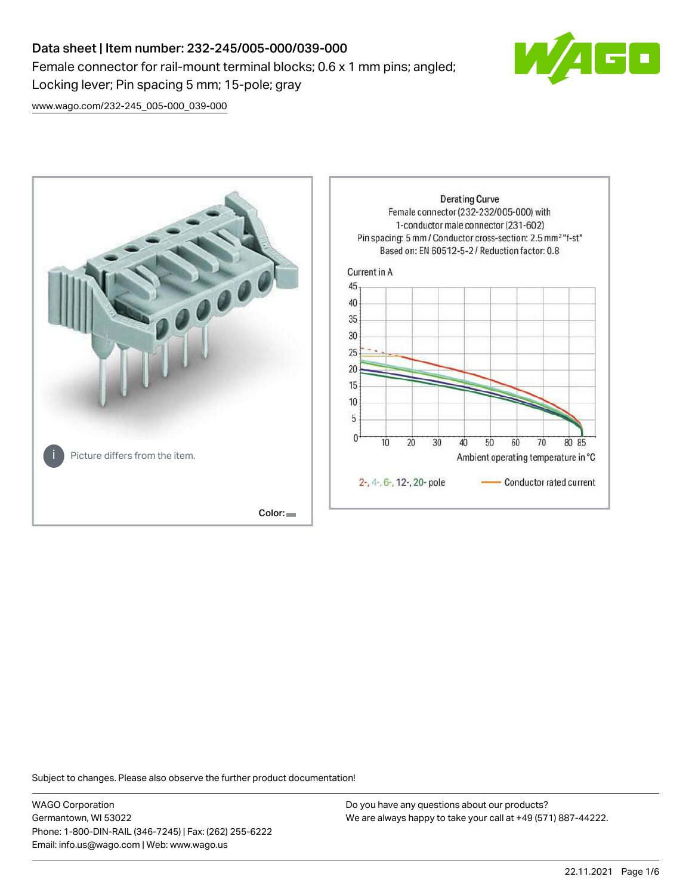# Data sheet | Item number: 232-245/005-000/039-000 Female connector for rail-mount terminal blocks; 0.6 x 1 mm pins; angled; Locking lever; Pin spacing 5 mm; 15-pole; gray



[www.wago.com/232-245\\_005-000\\_039-000](http://www.wago.com/232-245_005-000_039-000)



Subject to changes. Please also observe the further product documentation!

WAGO Corporation Germantown, WI 53022 Phone: 1-800-DIN-RAIL (346-7245) | Fax: (262) 255-6222 Email: info.us@wago.com | Web: www.wago.us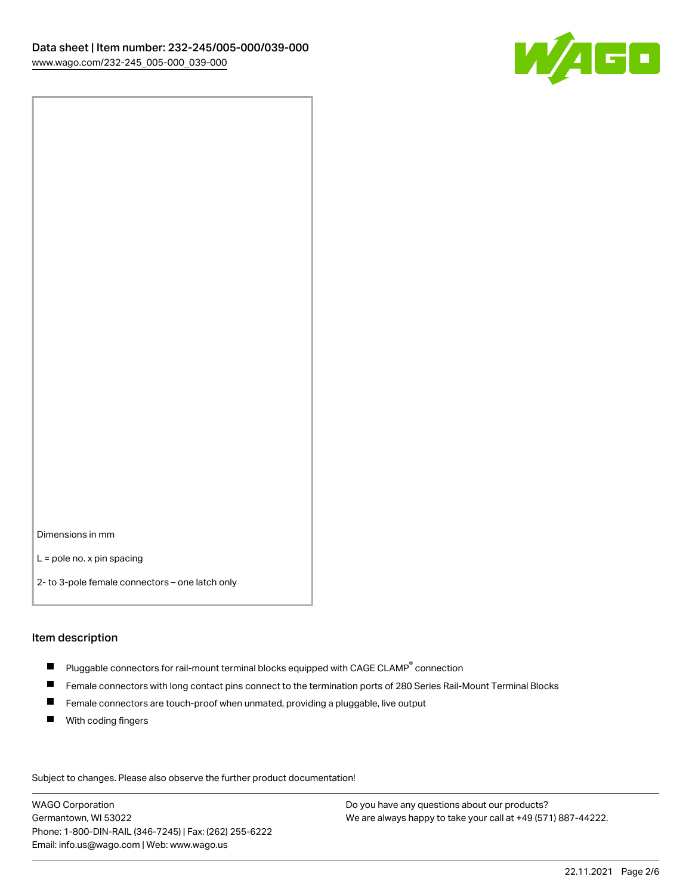

Dimensions in mm

L = pole no. x pin spacing

2- to 3-pole female connectors – one latch only

#### Item description

- $\blacksquare$  Pluggable connectors for rail-mount terminal blocks equipped with CAGE CLAMP $^\circ$  connection
- Female connectors with long contact pins connect to the termination ports of 280 Series Rail-Mount Terminal Blocks
- $\blacksquare$ Female connectors are touch-proof when unmated, providing a pluggable, live output
- $\blacksquare$ With coding fingers

Subject to changes. Please also observe the further product documentation! Data

WAGO Corporation Germantown, WI 53022 Phone: 1-800-DIN-RAIL (346-7245) | Fax: (262) 255-6222 Email: info.us@wago.com | Web: www.wago.us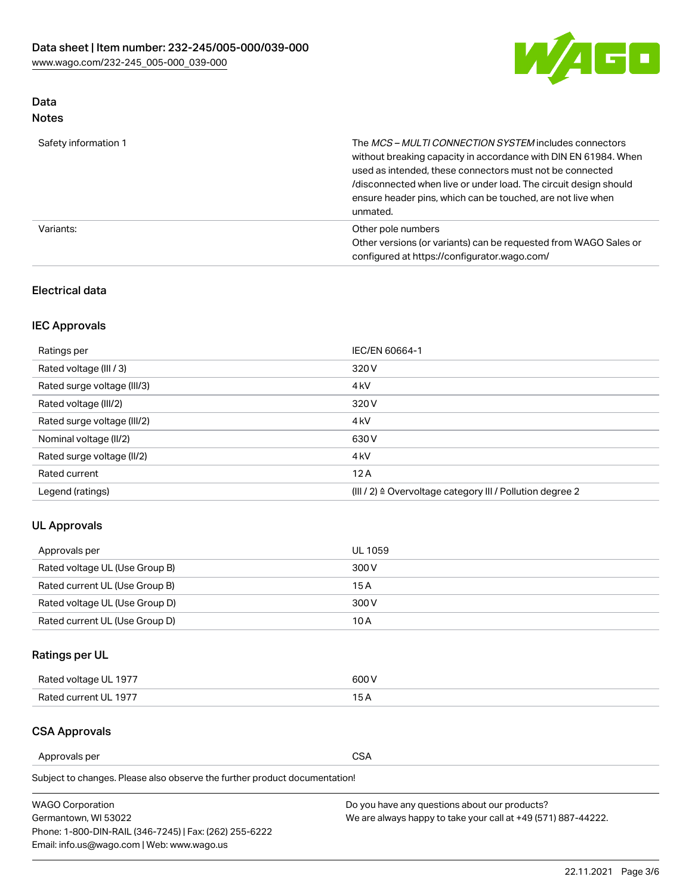

# Data

| Safety information 1 | The MCS-MULTI CONNECTION SYSTEM includes connectors<br>without breaking capacity in accordance with DIN EN 61984. When<br>used as intended, these connectors must not be connected<br>/disconnected when live or under load. The circuit design should<br>ensure header pins, which can be touched, are not live when<br>unmated. |
|----------------------|-----------------------------------------------------------------------------------------------------------------------------------------------------------------------------------------------------------------------------------------------------------------------------------------------------------------------------------|
| Variants:            | Other pole numbers<br>Other versions (or variants) can be requested from WAGO Sales or<br>configured at https://configurator.wago.com/                                                                                                                                                                                            |

# Electrical data

# IEC Approvals

| Ratings per                 | IEC/EN 60664-1                                                        |
|-----------------------------|-----------------------------------------------------------------------|
| Rated voltage (III / 3)     | 320 V                                                                 |
| Rated surge voltage (III/3) | 4 <sub>k</sub> V                                                      |
| Rated voltage (III/2)       | 320 V                                                                 |
| Rated surge voltage (III/2) | 4 <sub>k</sub> V                                                      |
| Nominal voltage (II/2)      | 630 V                                                                 |
| Rated surge voltage (II/2)  | 4 <sub>k</sub> V                                                      |
| Rated current               | 12A                                                                   |
| Legend (ratings)            | $(III / 2)$ $\triangle$ Overvoltage category III / Pollution degree 2 |

# UL Approvals

| Approvals per                  | UL 1059 |
|--------------------------------|---------|
| Rated voltage UL (Use Group B) | 300 V   |
| Rated current UL (Use Group B) | 15 A    |
| Rated voltage UL (Use Group D) | 300 V   |
| Rated current UL (Use Group D) | 10 A    |

# Ratings per UL

| Rated voltage UL 1977 | 300 V |
|-----------------------|-------|
| Rated current UL 1977 |       |

# CSA Approvals

Approvals per CSA

Subject to changes. Please also observe the further product documentation!

| <b>WAGO Corporation</b>                                | Do you have any questions about our products?                 |
|--------------------------------------------------------|---------------------------------------------------------------|
| Germantown, WI 53022                                   | We are always happy to take your call at +49 (571) 887-44222. |
| Phone: 1-800-DIN-RAIL (346-7245)   Fax: (262) 255-6222 |                                                               |
| Email: info.us@wago.com   Web: www.wago.us             |                                                               |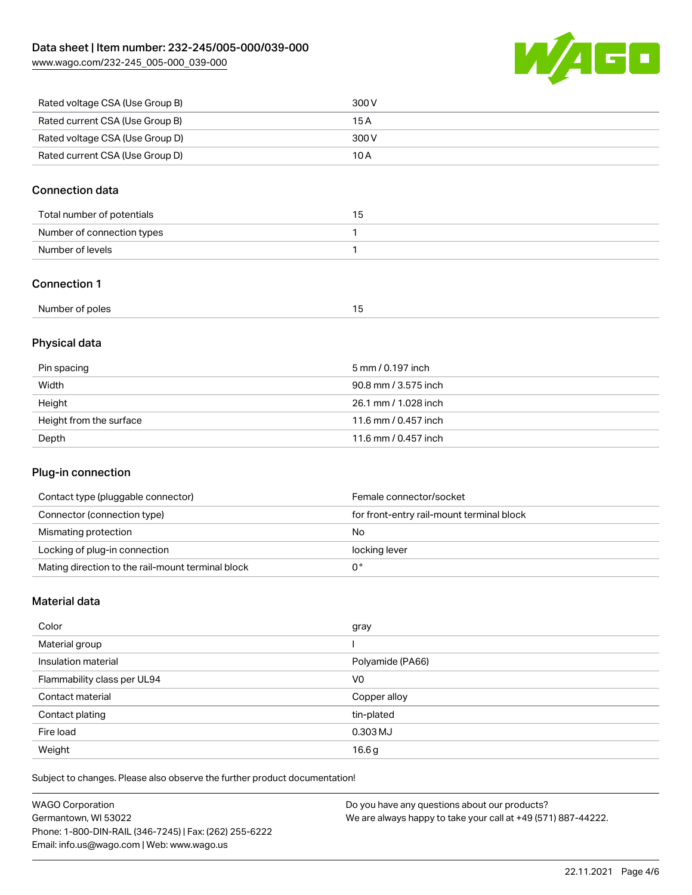W/AGO

| www.wago.com/232-245_005-000_039-000 |  |
|--------------------------------------|--|
|                                      |  |

| Rated voltage CSA (Use Group B) | 300 V |
|---------------------------------|-------|
| Rated current CSA (Use Group B) | 15 A  |
| Rated voltage CSA (Use Group D) | 300 V |
| Rated current CSA (Use Group D) | 10 A  |

# Connection data

| Total number of potentials | כ ו |
|----------------------------|-----|
| Number of connection types |     |
| Number of levels           |     |

### Connection 1

| .               |   |
|-----------------|---|
| Number of poles | . |
|                 |   |

# Physical data

| Pin spacing             | 5 mm / 0.197 inch    |
|-------------------------|----------------------|
| Width                   | 90.8 mm / 3.575 inch |
| Height                  | 26.1 mm / 1.028 inch |
| Height from the surface | 11.6 mm / 0.457 inch |
| Depth                   | 11.6 mm / 0.457 inch |

# Plug-in connection

| Contact type (pluggable connector)                | Female connector/socket                   |
|---------------------------------------------------|-------------------------------------------|
| Connector (connection type)                       | for front-entry rail-mount terminal block |
| Mismating protection                              | No                                        |
| Locking of plug-in connection                     | locking lever                             |
| Mating direction to the rail-mount terminal block |                                           |

# Material data

| Color                       | gray             |
|-----------------------------|------------------|
| Material group              |                  |
| Insulation material         | Polyamide (PA66) |
| Flammability class per UL94 | V <sub>0</sub>   |
| Contact material            | Copper alloy     |
| Contact plating             | tin-plated       |
| Fire load                   | 0.303 MJ         |
| Weight                      | 16.6g            |

Subject to changes. Please also observe the further product documentation!

| <b>WAGO Corporation</b>                                | Do you have any questions about our products?                 |
|--------------------------------------------------------|---------------------------------------------------------------|
| Germantown, WI 53022                                   | We are always happy to take your call at +49 (571) 887-44222. |
| Phone: 1-800-DIN-RAIL (346-7245)   Fax: (262) 255-6222 |                                                               |
| Email: info.us@wago.com   Web: www.wago.us             |                                                               |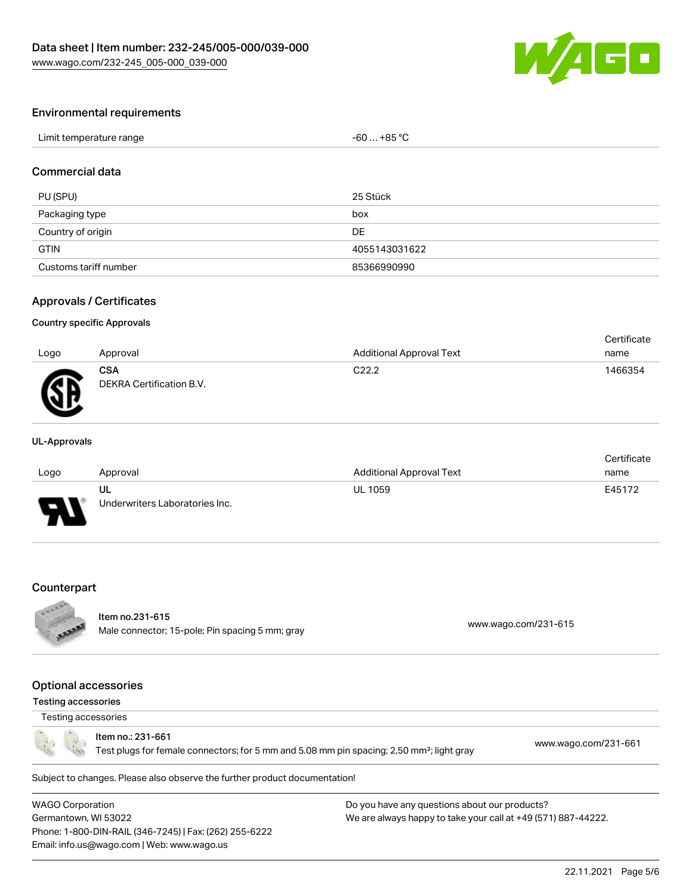

#### Environmental requirements

| Limit temperature range | $-60+85 °C$ |
|-------------------------|-------------|
|-------------------------|-------------|

# Commercial data

| PU (SPU)              | 25 Stück      |
|-----------------------|---------------|
| Packaging type        | box           |
| Country of origin     | DE            |
| <b>GTIN</b>           | 4055143031622 |
| Customs tariff number | 85366990990   |

#### Approvals / Certificates

#### Country specific Approvals

| Logo | Approval                               | Additional Approval Text | Certificate<br>name |
|------|----------------------------------------|--------------------------|---------------------|
| Æ    | <b>CSA</b><br>DEKRA Certification B.V. | C <sub>22.2</sub>        | 1466354             |

#### UL-Approvals

|      |                                |                                 | Certificate |
|------|--------------------------------|---------------------------------|-------------|
| Logo | Approval                       | <b>Additional Approval Text</b> | name        |
|      | UL                             | <b>UL 1059</b>                  | E45172      |
| J    | Underwriters Laboratories Inc. |                                 |             |

#### **Counterpart**



# Item no.231-615

nem 10.251-013<br>Male connector; 15-pole; Pin spacing 5 mm; gray [www.wago.com/231-615](https://www.wago.com/231-615)

#### Optional accessories

#### Testing accessories

# Testing accessories

Item no.: 231-661

Test plugs for female connectors; for 5 mm and 5.08 mm pin spacing; 2,50 mm²; light gray [www.wago.com/231-661](http://www.wago.com/231-661)

Subject to changes. Please also observe the further product documentation!

WAGO Corporation Germantown, WI 53022 Phone: 1-800-DIN-RAIL (346-7245) | Fax: (262) 255-6222 Email: info.us@wago.com | Web: www.wago.us